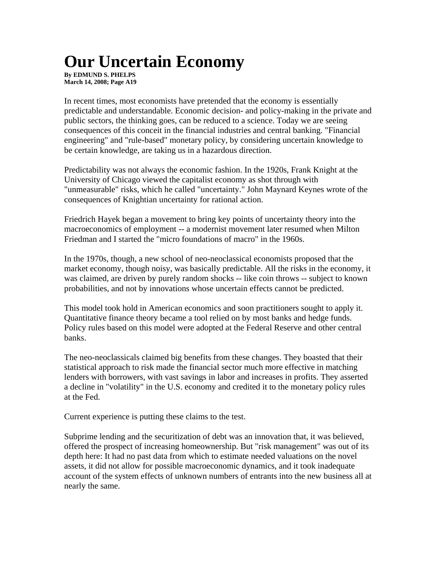## **Our Uncertain Economy**

**By EDMUND S. PHELPS March 14, 2008; Page A19** 

In recent times, most economists have pretended that the economy is essentially predictable and understandable. Economic decision- and policy-making in the private and public sectors, the thinking goes, can be reduced to a science. Today we are seeing consequences of this conceit in the financial industries and central banking. "Financial engineering" and "rule-based" monetary policy, by considering uncertain knowledge to be certain knowledge, are taking us in a hazardous direction.

Predictability was not always the economic fashion. In the 1920s, Frank Knight at the University of Chicago viewed the capitalist economy as shot through with "unmeasurable" risks, which he called "uncertainty." John Maynard Keynes wrote of the consequences of Knightian uncertainty for rational action.

Friedrich Hayek began a movement to bring key points of uncertainty theory into the macroeconomics of employment -- a modernist movement later resumed when Milton Friedman and I started the "micro foundations of macro" in the 1960s.

In the 1970s, though, a new school of neo-neoclassical economists proposed that the market economy, though noisy, was basically predictable. All the risks in the economy, it was claimed, are driven by purely random shocks -- like coin throws -- subject to known probabilities, and not by innovations whose uncertain effects cannot be predicted.

This model took hold in American economics and soon practitioners sought to apply it. Quantitative finance theory became a tool relied on by most banks and hedge funds. Policy rules based on this model were adopted at the Federal Reserve and other central banks.

The neo-neoclassicals claimed big benefits from these changes. They boasted that their statistical approach to risk made the financial sector much more effective in matching lenders with borrowers, with vast savings in labor and increases in profits. They asserted a decline in "volatility" in the U.S. economy and credited it to the monetary policy rules at the Fed.

Current experience is putting these claims to the test.

Subprime lending and the securitization of debt was an innovation that, it was believed, offered the prospect of increasing homeownership. But "risk management" was out of its depth here: It had no past data from which to estimate needed valuations on the novel assets, it did not allow for possible macroeconomic dynamics, and it took inadequate account of the system effects of unknown numbers of entrants into the new business all at nearly the same.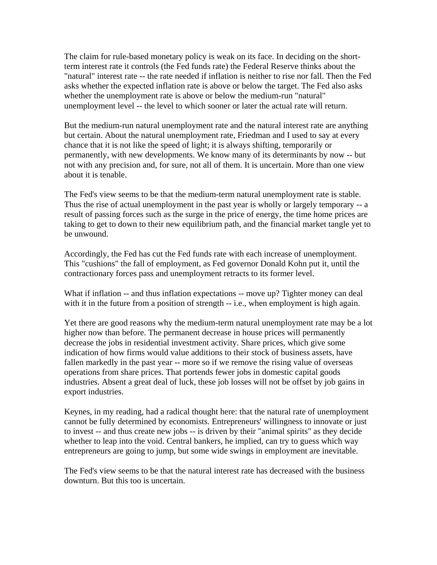The claim for rule-based monetary policy is weak on its face. In deciding on the shortterm interest rate it controls (the Fed funds rate) the Federal Reserve thinks about the "natural" interest rate -- the rate needed if inflation is neither to rise nor fall. Then the Fed asks whether the expected inflation rate is above or below the target. The Fed also asks whether the unemployment rate is above or below the medium-run "natural" unemployment level -- the level to which sooner or later the actual rate will return.

But the medium-run natural unemployment rate and the natural interest rate are anything but certain. About the natural unemployment rate, Friedman and I used to say at every chance that it is not like the speed of light; it is always shifting, temporarily or permanently, with new developments. We know many of its determinants by now -- but not with any precision and, for sure, not all of them. It is uncertain. More than one view about it is tenable.

The Fed's view seems to be that the medium-term natural unemployment rate is stable. Thus the rise of actual unemployment in the past year is wholly or largely temporary -- a result of passing forces such as the surge in the price of energy, the time home prices are taking to get to down to their new equilibrium path, and the financial market tangle yet to be unwound.

Accordingly, the Fed has cut the Fed funds rate with each increase of unemployment. This "cushions" the fall of employment, as Fed governor Donald Kohn put it, until the contractionary forces pass and unemployment retracts to its former level.

What if inflation -- and thus inflation expectations -- move up? Tighter money can deal with it in the future from a position of strength -- i.e., when employment is high again.

Yet there are good reasons why the medium-term natural unemployment rate may be a lot higher now than before. The permanent decrease in house prices will permanently decrease the jobs in residential investment activity. Share prices, which give some indication of how firms would value additions to their stock of business assets, have fallen markedly in the past year -- more so if we remove the rising value of overseas operations from share prices. That portends fewer jobs in domestic capital goods industries. Absent a great deal of luck, these job losses will not be offset by job gains in export industries.

Keynes, in my reading, had a radical thought here: that the natural rate of unemployment cannot be fully determined by economists. Entrepreneurs' willingness to innovate or just to invest -- and thus create new jobs -- is driven by their "animal spirits" as they decide whether to leap into the void. Central bankers, he implied, can try to guess which way entrepreneurs are going to jump, but some wide swings in employment are inevitable.

The Fed's view seems to be that the natural interest rate has decreased with the business downturn. But this too is uncertain.